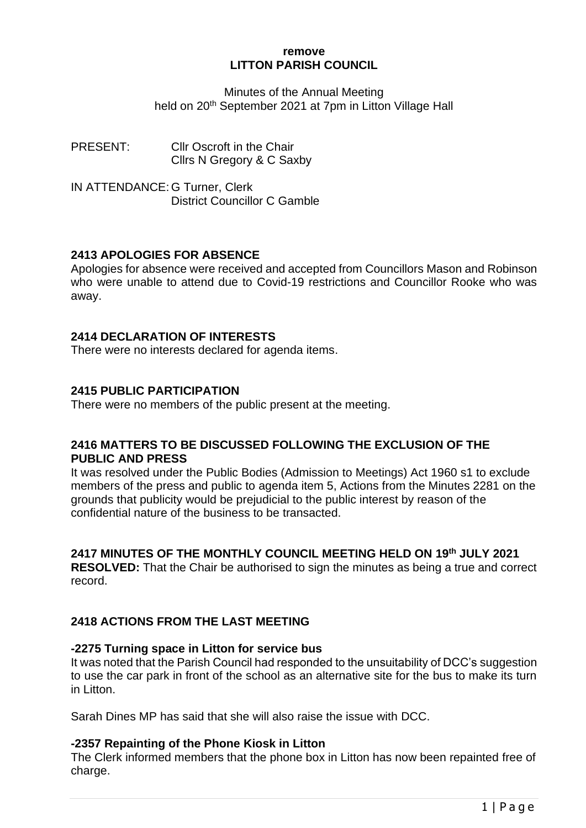#### **remove LITTON PARISH COUNCIL**

Minutes of the Annual Meeting held on 20<sup>th</sup> September 2021 at 7pm in Litton Village Hall

PRESENT: Cllr Oscroft in the Chair Cllrs N Gregory & C Saxby

IN ATTENDANCE: G Turner, Clerk District Councillor C Gamble

## **2413 APOLOGIES FOR ABSENCE**

Apologies for absence were received and accepted from Councillors Mason and Robinson who were unable to attend due to Covid-19 restrictions and Councillor Rooke who was away.

## **2414 DECLARATION OF INTERESTS**

There were no interests declared for agenda items.

## **2415 PUBLIC PARTICIPATION**

There were no members of the public present at the meeting.

## **2416 MATTERS TO BE DISCUSSED FOLLOWING THE EXCLUSION OF THE PUBLIC AND PRESS**

It was resolved under the Public Bodies (Admission to Meetings) Act 1960 s1 to exclude members of the press and public to agenda item 5, Actions from the Minutes 2281 on the grounds that publicity would be prejudicial to the public interest by reason of the confidential nature of the business to be transacted.

## **2417 MINUTES OF THE MONTHLY COUNCIL MEETING HELD ON 19th JULY 2021**

**RESOLVED:** That the Chair be authorised to sign the minutes as being a true and correct record.

# **2418 ACTIONS FROM THE LAST MEETING**

## **-2275 Turning space in Litton for service bus**

It was noted that the Parish Council had responded to the unsuitability of DCC's suggestion to use the car park in front of the school as an alternative site for the bus to make its turn in Litton.

Sarah Dines MP has said that she will also raise the issue with DCC.

#### **-2357 Repainting of the Phone Kiosk in Litton**

The Clerk informed members that the phone box in Litton has now been repainted free of charge.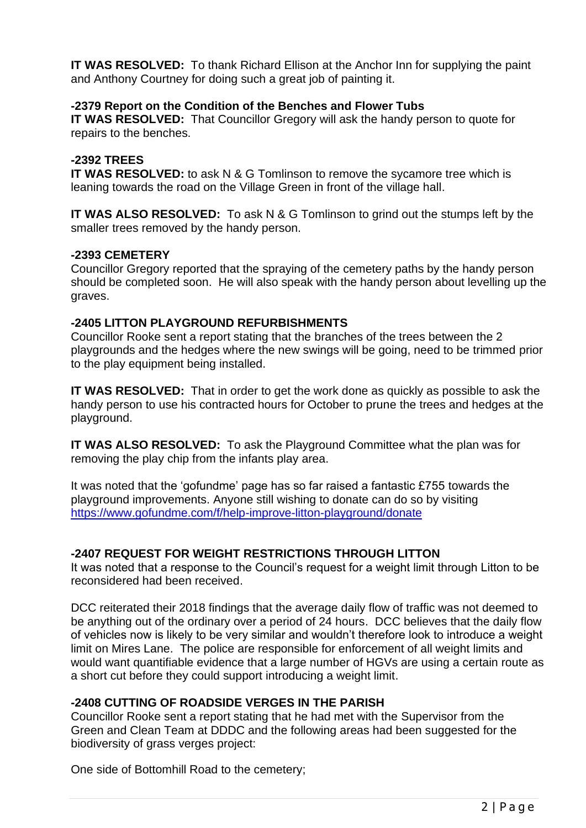**IT WAS RESOLVED:** To thank Richard Ellison at the Anchor Inn for supplying the paint and Anthony Courtney for doing such a great job of painting it.

#### **-2379 Report on the Condition of the Benches and Flower Tubs**

**IT WAS RESOLVED:** That Councillor Gregory will ask the handy person to quote for repairs to the benches.

#### **-2392 TREES**

**IT WAS RESOLVED:** to ask N & G Tomlinson to remove the sycamore tree which is leaning towards the road on the Village Green in front of the village hall.

**IT WAS ALSO RESOLVED:** To ask N & G Tomlinson to grind out the stumps left by the smaller trees removed by the handy person.

#### **-2393 CEMETERY**

Councillor Gregory reported that the spraying of the cemetery paths by the handy person should be completed soon. He will also speak with the handy person about levelling up the graves.

#### **-2405 LITTON PLAYGROUND REFURBISHMENTS**

Councillor Rooke sent a report stating that the branches of the trees between the 2 playgrounds and the hedges where the new swings will be going, need to be trimmed prior to the play equipment being installed.

**IT WAS RESOLVED:** That in order to get the work done as quickly as possible to ask the handy person to use his contracted hours for October to prune the trees and hedges at the playground.

**IT WAS ALSO RESOLVED:** To ask the Playground Committee what the plan was for removing the play chip from the infants play area.

It was noted that the 'gofundme' page has so far raised a fantastic £755 towards the playground improvements. Anyone still wishing to donate can do so by visiting <https://www.gofundme.com/f/help-improve-litton-playground/donate>

## **-2407 REQUEST FOR WEIGHT RESTRICTIONS THROUGH LITTON**

It was noted that a response to the Council's request for a weight limit through Litton to be reconsidered had been received.

DCC reiterated their 2018 findings that the average daily flow of traffic was not deemed to be anything out of the ordinary over a period of 24 hours. DCC believes that the daily flow of vehicles now is likely to be very similar and wouldn't therefore look to introduce a weight limit on Mires Lane. The police are responsible for enforcement of all weight limits and would want quantifiable evidence that a large number of HGVs are using a certain route as a short cut before they could support introducing a weight limit.

## **-2408 CUTTING OF ROADSIDE VERGES IN THE PARISH**

Councillor Rooke sent a report stating that he had met with the Supervisor from the Green and Clean Team at DDDC and the following areas had been suggested for the biodiversity of grass verges project:

One side of Bottomhill Road to the cemetery;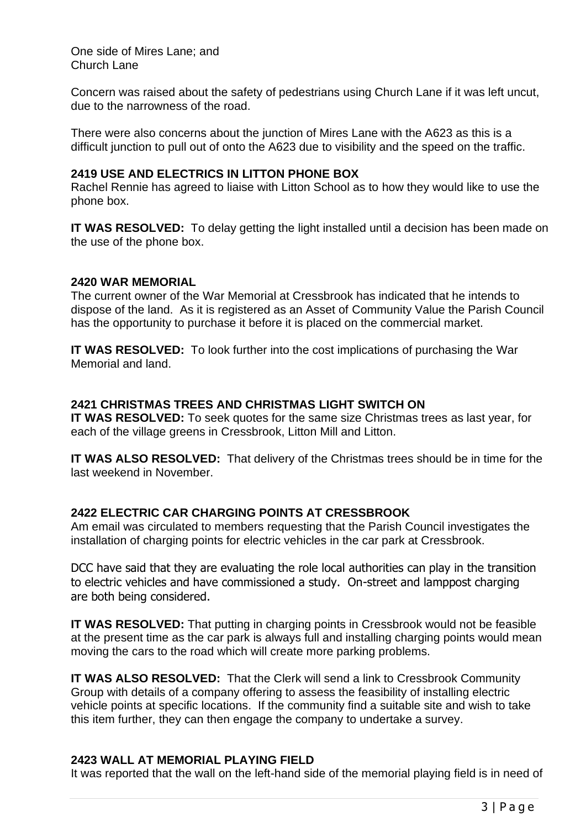One side of Mires Lane; and Church Lane

Concern was raised about the safety of pedestrians using Church Lane if it was left uncut, due to the narrowness of the road.

There were also concerns about the junction of Mires Lane with the A623 as this is a difficult junction to pull out of onto the A623 due to visibility and the speed on the traffic.

#### **2419 USE AND ELECTRICS IN LITTON PHONE BOX**

Rachel Rennie has agreed to liaise with Litton School as to how they would like to use the phone box.

**IT WAS RESOLVED:** To delay getting the light installed until a decision has been made on the use of the phone box.

#### **2420 WAR MEMORIAL**

The current owner of the War Memorial at Cressbrook has indicated that he intends to dispose of the land. As it is registered as an Asset of Community Value the Parish Council has the opportunity to purchase it before it is placed on the commercial market.

**IT WAS RESOLVED:** To look further into the cost implications of purchasing the War Memorial and land.

#### **2421 CHRISTMAS TREES AND CHRISTMAS LIGHT SWITCH ON**

**IT WAS RESOLVED:** To seek quotes for the same size Christmas trees as last year, for each of the village greens in Cressbrook, Litton Mill and Litton.

**IT WAS ALSO RESOLVED:** That delivery of the Christmas trees should be in time for the last weekend in November.

#### **2422 ELECTRIC CAR CHARGING POINTS AT CRESSBROOK**

Am email was circulated to members requesting that the Parish Council investigates the installation of charging points for electric vehicles in the car park at Cressbrook.

DCC have said that they are evaluating the role local authorities can play in the transition to electric vehicles and have commissioned a study. On-street and lamppost charging are both being considered.

**IT WAS RESOLVED:** That putting in charging points in Cressbrook would not be feasible at the present time as the car park is always full and installing charging points would mean moving the cars to the road which will create more parking problems.

**IT WAS ALSO RESOLVED:** That the Clerk will send a link to Cressbrook Community Group with details of a company offering to assess the feasibility of installing electric vehicle points at specific locations. If the community find a suitable site and wish to take this item further, they can then engage the company to undertake a survey.

#### **2423 WALL AT MEMORIAL PLAYING FIELD**

It was reported that the wall on the left-hand side of the memorial playing field is in need of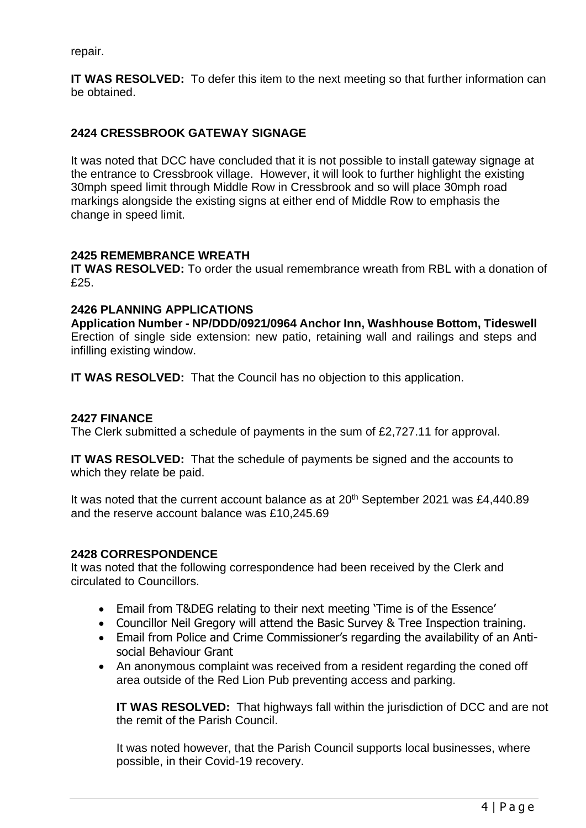repair.

**IT WAS RESOLVED:** To defer this item to the next meeting so that further information can be obtained.

## **2424 CRESSBROOK GATEWAY SIGNAGE**

It was noted that DCC have concluded that it is not possible to install gateway signage at the entrance to Cressbrook village. However, it will look to further highlight the existing 30mph speed limit through Middle Row in Cressbrook and so will place 30mph road markings alongside the existing signs at either end of Middle Row to emphasis the change in speed limit.

## **2425 REMEMBRANCE WREATH**

**IT WAS RESOLVED:** To order the usual remembrance wreath from RBL with a donation of £25.

#### **2426 PLANNING APPLICATIONS**

**Application Number - NP/DDD/0921/0964 Anchor Inn, Washhouse Bottom, Tideswell**  Erection of single side extension: new patio, retaining wall and railings and steps and infilling existing window.

**IT WAS RESOLVED:** That the Council has no objection to this application.

### **2427 FINANCE**

The Clerk submitted a schedule of payments in the sum of £2,727.11 for approval.

**IT WAS RESOLVED:** That the schedule of payments be signed and the accounts to which they relate be paid.

It was noted that the current account balance as at  $20<sup>th</sup>$  September 2021 was £4,440.89 and the reserve account balance was £10,245.69

## **2428 CORRESPONDENCE**

It was noted that the following correspondence had been received by the Clerk and circulated to Councillors.

- Email from T&DEG relating to their next meeting 'Time is of the Essence'
- Councillor Neil Gregory will attend the Basic Survey & Tree Inspection training.
- Email from Police and Crime Commissioner's regarding the availability of an Antisocial Behaviour Grant
- An anonymous complaint was received from a resident regarding the coned off area outside of the Red Lion Pub preventing access and parking.

**IT WAS RESOLVED:** That highways fall within the jurisdiction of DCC and are not the remit of the Parish Council.

It was noted however, that the Parish Council supports local businesses, where possible, in their Covid-19 recovery.